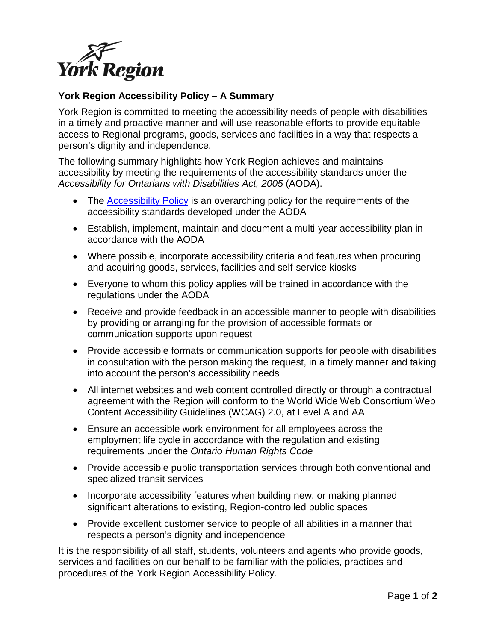

## **York Region Accessibility Policy – A Summary**

York Region is committed to meeting the accessibility needs of people with disabilities in a timely and proactive manner and will use reasonable efforts to provide equitable access to Regional programs, goods, services and facilities in a way that respects a person's dignity and independence.

The following summary highlights how York Region achieves and maintains accessibility by meeting the requirements of the accessibility standards under the *Accessibility for Ontarians with Disabilities Act, 2005* (AODA).

- The [Accessibility Policy](http://www.york.ca/wps/wcm/connect/yorkpublic/2c41dc58-b7f7-4522-90eb-b2eaf48b2187/Accessibility+Policy+2017.pdf?MOD=AJPERES) is an overarching policy for the requirements of the accessibility standards developed under the AODA
- Establish, implement, maintain and document a multi-year accessibility plan in accordance with the AODA
- Where possible, incorporate accessibility criteria and features when procuring and acquiring goods, services, facilities and self-service kiosks
- Everyone to whom this policy applies will be trained in accordance with the regulations under the AODA
- Receive and provide feedback in an accessible manner to people with disabilities by providing or arranging for the provision of accessible formats or communication supports upon request
- Provide accessible formats or communication supports for people with disabilities in consultation with the person making the request, in a timely manner and taking into account the person's accessibility needs
- All internet websites and web content controlled directly or through a contractual agreement with the Region will conform to the World Wide Web Consortium Web Content Accessibility Guidelines (WCAG) 2.0, at Level A and AA
- Ensure an accessible work environment for all employees across the employment life cycle in accordance with the regulation and existing requirements under the *Ontario Human Rights Code*
- Provide accessible public transportation services through both conventional and specialized transit services
- Incorporate accessibility features when building new, or making planned significant alterations to existing, Region-controlled public spaces
- Provide excellent customer service to people of all abilities in a manner that respects a person's dignity and independence

It is the responsibility of all staff, students, volunteers and agents who provide goods, services and facilities on our behalf to be familiar with the policies, practices and procedures of the York Region Accessibility Policy.